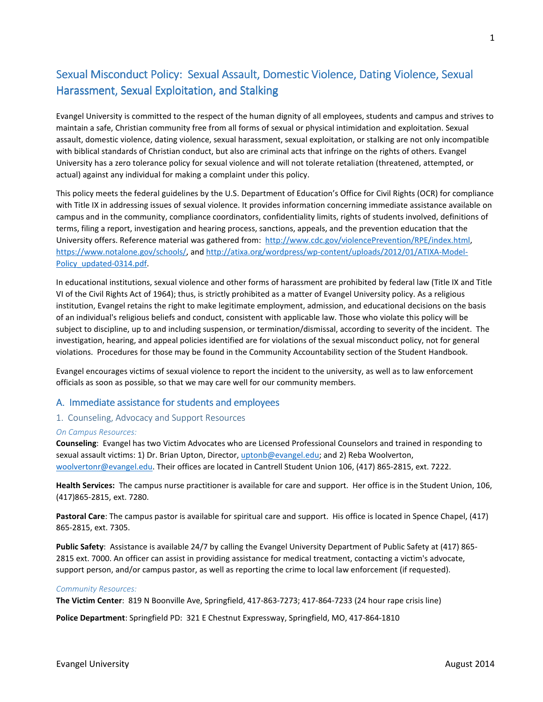# Sexual Misconduct Policy: Sexual Assault, Domestic Violence, Dating Violence, Sexual Harassment, Sexual Exploitation, and Stalking

Evangel University is committed to the respect of the human dignity of all employees, students and campus and strives to maintain a safe, Christian community free from all forms of sexual or physical intimidation and exploitation. Sexual assault, domestic violence, dating violence, sexual harassment, sexual exploitation, or stalking are not only incompatible with biblical standards of Christian conduct, but also are criminal acts that infringe on the rights of others. Evangel University has a zero tolerance policy for sexual violence and will not tolerate retaliation (threatened, attempted, or actual) against any individual for making a complaint under this policy.

This policy meets the federal guidelines by the U.S. Department of Education's Office for Civil Rights (OCR) for compliance with Title IX in addressing issues of sexual violence. It provides information concerning immediate assistance available on campus and in the community, compliance coordinators, confidentiality limits, rights of students involved, definitions of terms, filing a report, investigation and hearing process, sanctions, appeals, and the prevention education that the University offers. Reference material was gathered from: http://www.cdc.gov/violencePrevention/RPE/index.html, https://www.notalone.gov/schools/, and http://atixa.org/wordpress/wp-content/uploads/2012/01/ATIXA-Model-Policy updated-0314.pdf

In educational institutions, sexual violence and other forms of harassment are prohibited by federal law (Title IX and Title VI of the Civil Rights Act of 1964); thus, is strictly prohibited as a matter of Evangel University policy. As a religious institution, Evangel retains the right to make legitimate employment, admission, and educational decisions on the basis of an individual's religious beliefs and conduct, consistent with applicable law. Those who violate this policy will be subject to discipline, up to and including suspension, or termination/dismissal, according to severity of the incident. The investigation, hearing, and appeal policies identified are for violations of the sexual misconduct policy, not for general violations. Procedures for those may be found in the Community Accountability section of the Student Handbook.

Evangel encourages victims of sexual violence to report the incident to the university, as well as to law enforcement officials as soon as possible, so that we may care well for our community members.

### A. Immediate assistance for students and employees

#### 1. Counseling, Advocacy and Support Resources

#### *On Campus Resources:*

**Counseling**: Evangel has two Victim Advocates who are Licensed Professional Counselors and trained in responding to sexual assault victims: 1) Dr. Brian Upton, Director, uptonb@evangel.edu; and 2) Reba Woolverton, woolvertonr@evangel.edu. Their offices are located in Cantrell Student Union 106, (417) 865-2815, ext. 7222.

**Health Services:** The campus nurse practitioner is available for care and support. Her office is in the Student Union, 106, (417)865-2815, ext. 7280.

**Pastoral Care**: The campus pastor is available for spiritual care and support. His office is located in Spence Chapel, (417) 865-2815, ext. 7305.

**Public Safety**: Assistance is available 24/7 by calling the Evangel University Department of Public Safety at (417) 865- 2815 ext. 7000. An officer can assist in providing assistance for medical treatment, contacting a victim's advocate, support person, and/or campus pastor, as well as reporting the crime to local law enforcement (if requested).

#### *Community Resources:*

**The Victim Center**: 819 N Boonville Ave, Springfield, 417-863-7273; 417-864-7233 (24 hour rape crisis line)

**Police Department**: Springfield PD: 321 E Chestnut Expressway, Springfield, MO, 417-864-1810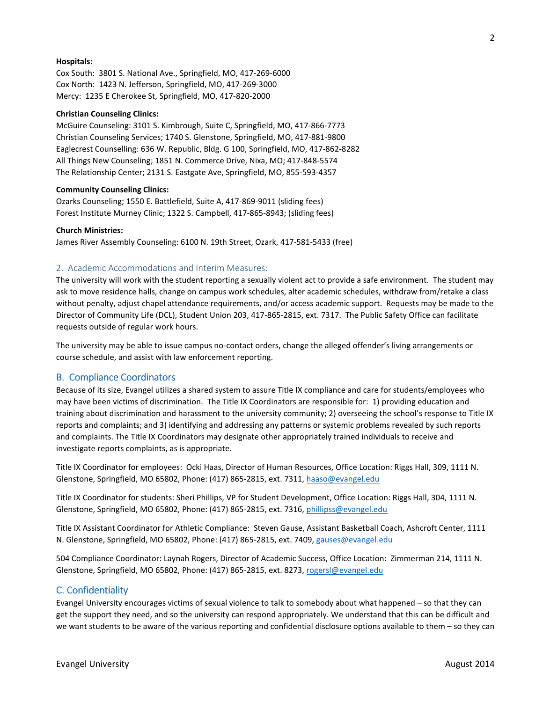#### **Hospitals:**

Cox South: 3801 S. National Ave., Springfield, MO, 417-269-6000 Cox North: 1423 N. Jefferson, Springfield, MO, 417-269-3000 Mercy: 1235 E Cherokee St, Springfield, MO, 417-820-2000

#### **Christian Counseling Clinics:**

McGuire Counseling: 3101 S. Kimbrough, Suite C, Springfield, MO, 417-866-7773 Christian Counseling Services; 1740 S. Glenstone, Springfield, MO, 417-881-9800 Eaglecrest Counselling: 636 W. Republic, Bldg. G 100, Springfield, MO, 417-862-8282 All Things New Counseling; 1851 N. Commerce Drive, Nixa, MO; 417-848-5574 The Relationship Center; 2131 S. Eastgate Ave, Springfield, MO, 855-593-4357

#### **Community Counseling Clinics:**

Ozarks Counseling; 1550 E. Battlefield, Suite A, 417-869-9011 (sliding fees) Forest Institute Murney Clinic; 1322 S. Campbell, 417-865-8943; (sliding fees)

#### **Church Ministries:**

James River Assembly Counseling: 6100 N. 19th Street, Ozark, 417-581-5433 (free)

#### 2. Academic Accommodations and Interim Measures:

The university will work with the student reporting a sexually violent act to provide a safe environment. The student may ask to move residence halls, change on campus work schedules, alter academic schedules, withdraw from/retake a class without penalty, adjust chapel attendance requirements, and/or access academic support. Requests may be made to the Director of Community Life (DCL), Student Union 203, 417-865-2815, ext. 7317. The Public Safety Office can facilitate requests outside of regular work hours.

The university may be able to issue campus no-contact orders, change the alleged offender's living arrangements or course schedule, and assist with law enforcement reporting.

#### **B. Compliance Coordinators**

Because of its size, Evangel utilizes a shared system to assure Title IX compliance and care for students/employees who may have been victims of discrimination. The Title IX Coordinators are responsible for: 1) providing education and training about discrimination and harassment to the university community; 2) overseeing the school's response to Title IX reports and complaints; and 3) identifying and addressing any patterns or systemic problems revealed by such reports and complaints. The Title IX Coordinators may designate other appropriately trained individuals to receive and investigate reports complaints, as is appropriate.

Title IX Coordinator for employees: Ocki Haas, Director of Human Resources, Office Location: Riggs Hall, 309, 1111 N. Glenstone, Springfield, MO 65802, Phone: (417) 865-2815, ext. 7311, haaso@evangel.edu

Title IX Coordinator for students: Sheri Phillips, VP for Student Development, Office Location: Riggs Hall, 304, 1111 N. Glenstone, Springfield, MO 65802, Phone: (417) 865-2815, ext. 7316, phillipss@evangel.edu

Title IX Assistant Coordinator for Athletic Compliance: Steven Gause, Assistant Basketball Coach, Ashcroft Center, 1111 N. Glenstone, Springfield, MO 65802, Phone: (417) 865-2815, ext. 7409, gauses@evangel.edu

504 Compliance Coordinator: Laynah Rogers, Director of Academic Success, Office Location: Zimmerman 214, 1111 N. Glenstone, Springfield, MO 65802, Phone: (417) 865-2815, ext. 8273, rogersl@evangel.edu

#### C. Confidentiality

Evangel University encourages victims of sexual violence to talk to somebody about what happened – so that they can get the support they need, and so the university can respond appropriately. We understand that this can be difficult and we want students to be aware of the various reporting and confidential disclosure options available to them – so they can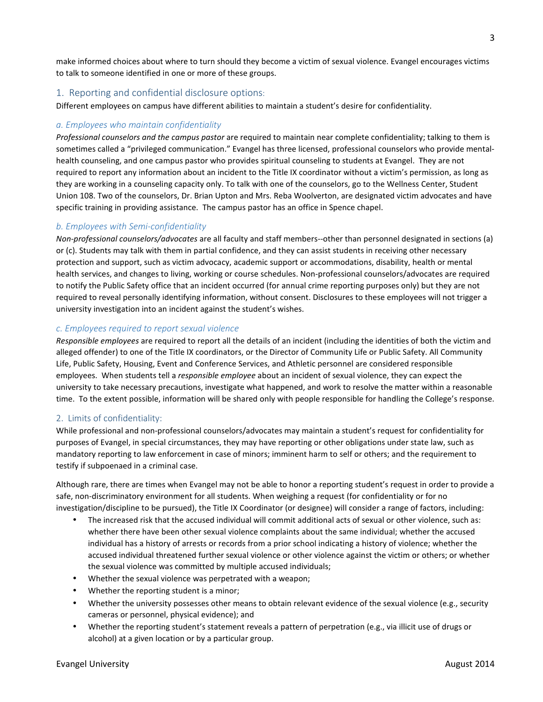make informed choices about where to turn should they become a victim of sexual violence. Evangel encourages victims to talk to someone identified in one or more of these groups.

# 1. Reporting and confidential disclosure options:

Different employees on campus have different abilities to maintain a student's desire for confidentiality.

# *a. Employees who maintain confidentiality*

*Professional counselors and the campus pastor* are required to maintain near complete confidentiality; talking to them is sometimes called a "privileged communication." Evangel has three licensed, professional counselors who provide mentalhealth counseling, and one campus pastor who provides spiritual counseling to students at Evangel. They are not required to report any information about an incident to the Title IX coordinator without a victim's permission, as long as they are working in a counseling capacity only. To talk with one of the counselors, go to the Wellness Center, Student Union 108. Two of the counselors, Dr. Brian Upton and Mrs. Reba Woolverton, are designated victim advocates and have specific training in providing assistance. The campus pastor has an office in Spence chapel.

### *b. Employees with Semi-confidentiality*

*Non-professional counselors/advocates* are all faculty and staff members--other than personnel designated in sections (a) or (c). Students may talk with them in partial confidence, and they can assist students in receiving other necessary protection and support, such as victim advocacy, academic support or accommodations, disability, health or mental health services, and changes to living, working or course schedules. Non-professional counselors/advocates are required to notify the Public Safety office that an incident occurred (for annual crime reporting purposes only) but they are not required to reveal personally identifying information, without consent. Disclosures to these employees will not trigger a university investigation into an incident against the student's wishes.

### *c. Employees required to report sexual violence*

*Responsible employees* are required to report all the details of an incident (including the identities of both the victim and alleged offender) to one of the Title IX coordinators, or the Director of Community Life or Public Safety. All Community Life, Public Safety, Housing, Event and Conference Services, and Athletic personnel are considered responsible employees. When students tell a *responsible employee* about an incident of sexual violence, they can expect the university to take necessary precautions, investigate what happened, and work to resolve the matter within a reasonable time. To the extent possible, information will be shared only with people responsible for handling the College's response.

### 2. Limits of confidentiality:

While professional and non-professional counselors/advocates may maintain a student's request for confidentiality for purposes of Evangel, in special circumstances, they may have reporting or other obligations under state law, such as mandatory reporting to law enforcement in case of minors; imminent harm to self or others; and the requirement to testify if subpoenaed in a criminal case.

Although rare, there are times when Evangel may not be able to honor a reporting student's request in order to provide a safe, non-discriminatory environment for all students. When weighing a request (for confidentiality or for no investigation/discipline to be pursued), the Title IX Coordinator (or designee) will consider a range of factors, including:

- The increased risk that the accused individual will commit additional acts of sexual or other violence, such as: whether there have been other sexual violence complaints about the same individual; whether the accused individual has a history of arrests or records from a prior school indicating a history of violence; whether the accused individual threatened further sexual violence or other violence against the victim or others; or whether the sexual violence was committed by multiple accused individuals;
- Whether the sexual violence was perpetrated with a weapon;
- Whether the reporting student is a minor;
- Whether the university possesses other means to obtain relevant evidence of the sexual violence (e.g., security cameras or personnel, physical evidence); and
- Whether the reporting student's statement reveals a pattern of perpetration (e.g., via illicit use of drugs or alcohol) at a given location or by a particular group.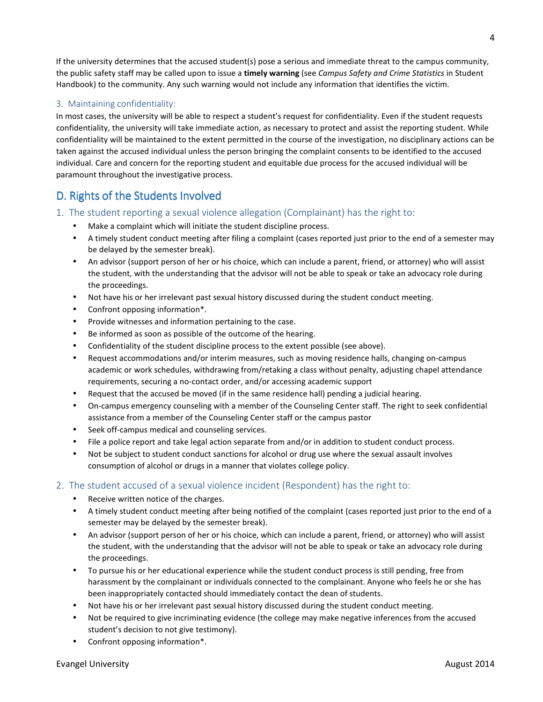If the university determines that the accused student(s) pose a serious and immediate threat to the campus community, the public safety staff may be called upon to issue a **timely warning** (see *Campus Safety and Crime Statistics* in Student Handbook) to the community. Any such warning would not include any information that identifies the victim.

# 3. Maintaining confidentiality:

In most cases, the university will be able to respect a student's request for confidentiality. Even if the student requests confidentiality, the university will take immediate action, as necessary to protect and assist the reporting student. While confidentiality will be maintained to the extent permitted in the course of the investigation, no disciplinary actions can be taken against the accused individual unless the person bringing the complaint consents to be identified to the accused individual. Care and concern for the reporting student and equitable due process for the accused individual will be paramount throughout the investigative process.

# D. Rights of the Students Involved

- 1. The student reporting a sexual violence allegation (Complainant) has the right to:
	- Make a complaint which will initiate the student discipline process.
	- A timely student conduct meeting after filing a complaint (cases reported just prior to the end of a semester may be delayed by the semester break).
	- An advisor (support person of her or his choice, which can include a parent, friend, or attorney) who will assist the student, with the understanding that the advisor will not be able to speak or take an advocacy role during the proceedings.
	- Not have his or her irrelevant past sexual history discussed during the student conduct meeting.
	- Confront opposing information\*.
	- Provide witnesses and information pertaining to the case.
	- Be informed as soon as possible of the outcome of the hearing.
	- Confidentiality of the student discipline process to the extent possible (see above).
	- Request accommodations and/or interim measures, such as moving residence halls, changing on-campus academic or work schedules, withdrawing from/retaking a class without penalty, adjusting chapel attendance requirements, securing a no-contact order, and/or accessing academic support
	- Request that the accused be moved (if in the same residence hall) pending a judicial hearing.
	- On-campus emergency counseling with a member of the Counseling Center staff. The right to seek confidential assistance from a member of the Counseling Center staff or the campus pastor
	- Seek off-campus medical and counseling services.
	- File a police report and take legal action separate from and/or in addition to student conduct process.
	- Not be subject to student conduct sanctions for alcohol or drug use where the sexual assault involves consumption of alcohol or drugs in a manner that violates college policy.

### 2. The student accused of a sexual violence incident (Respondent) has the right to:

- Receive written notice of the charges.
- A timely student conduct meeting after being notified of the complaint (cases reported just prior to the end of a semester may be delayed by the semester break).
- An advisor (support person of her or his choice, which can include a parent, friend, or attorney) who will assist the student, with the understanding that the advisor will not be able to speak or take an advocacy role during the proceedings.
- To pursue his or her educational experience while the student conduct process is still pending, free from harassment by the complainant or individuals connected to the complainant. Anyone who feels he or she has been inappropriately contacted should immediately contact the dean of students.
- Not have his or her irrelevant past sexual history discussed during the student conduct meeting.
- Not be required to give incriminating evidence (the college may make negative inferences from the accused student's decision to not give testimony).
- Confront opposing information\*.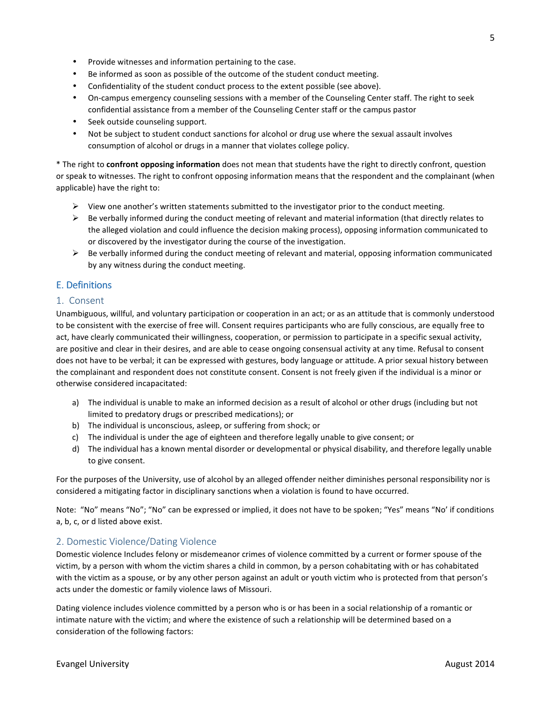• Not be subject to student conduct sanctions for alcohol or drug use where the sexual assault involves

Seek outside counseling support.

consumption of alcohol or drugs in a manner that violates college policy.

Be informed as soon as possible of the outcome of the student conduct meeting. • Confidentiality of the student conduct process to the extent possible (see above).

• Provide witnesses and information pertaining to the case.

\* The right to **confront opposing information** does not mean that students have the right to directly confront, question or speak to witnesses. The right to confront opposing information means that the respondent and the complainant (when applicable) have the right to:

• On-campus emergency counseling sessions with a member of the Counseling Center staff. The right to seek

 $\triangleright$  View one another's written statements submitted to the investigator prior to the conduct meeting.

confidential assistance from a member of the Counseling Center staff or the campus pastor

- $\triangleright$  Be verbally informed during the conduct meeting of relevant and material information (that directly relates to the alleged violation and could influence the decision making process), opposing information communicated to or discovered by the investigator during the course of the investigation.
- $\triangleright$  Be verbally informed during the conduct meeting of relevant and material, opposing information communicated by any witness during the conduct meeting.

## **E.** Definitions

#### 1. Consent

Unambiguous, willful, and voluntary participation or cooperation in an act; or as an attitude that is commonly understood to be consistent with the exercise of free will. Consent requires participants who are fully conscious, are equally free to act, have clearly communicated their willingness, cooperation, or permission to participate in a specific sexual activity, are positive and clear in their desires, and are able to cease ongoing consensual activity at any time. Refusal to consent does not have to be verbal; it can be expressed with gestures, body language or attitude. A prior sexual history between the complainant and respondent does not constitute consent. Consent is not freely given if the individual is a minor or otherwise considered incapacitated:

- a) The individual is unable to make an informed decision as a result of alcohol or other drugs (including but not limited to predatory drugs or prescribed medications); or
- b) The individual is unconscious, asleep, or suffering from shock; or
- c) The individual is under the age of eighteen and therefore legally unable to give consent; or
- d) The individual has a known mental disorder or developmental or physical disability, and therefore legally unable to give consent.

For the purposes of the University, use of alcohol by an alleged offender neither diminishes personal responsibility nor is considered a mitigating factor in disciplinary sanctions when a violation is found to have occurred.

Note: "No" means "No"; "No" can be expressed or implied, it does not have to be spoken; "Yes" means "No' if conditions a, b, c, or d listed above exist.

#### 2. Domestic Violence/Dating Violence

Domestic violence Includes felony or misdemeanor crimes of violence committed by a current or former spouse of the victim, by a person with whom the victim shares a child in common, by a person cohabitating with or has cohabitated with the victim as a spouse, or by any other person against an adult or youth victim who is protected from that person's acts under the domestic or family violence laws of Missouri.

Dating violence includes violence committed by a person who is or has been in a social relationship of a romantic or intimate nature with the victim; and where the existence of such a relationship will be determined based on a consideration of the following factors: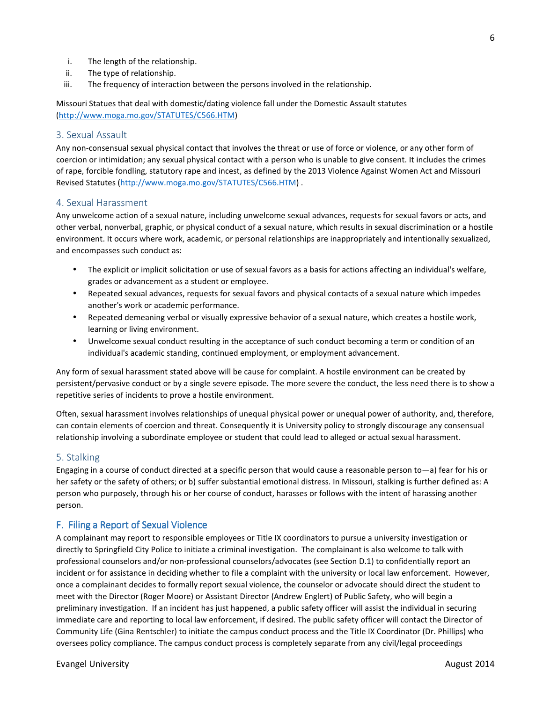- i. The length of the relationship.
- ii. The type of relationship.
- iii. The frequency of interaction between the persons involved in the relationship.

Missouri Statues that deal with domestic/dating violence fall under the Domestic Assault statutes (http://www.moga.mo.gov/STATUTES/C566.HTM)

#### 3. Sexual Assault

Any non-consensual sexual physical contact that involves the threat or use of force or violence, or any other form of coercion or intimidation; any sexual physical contact with a person who is unable to give consent. It includes the crimes of rape, forcible fondling, statutory rape and incest, as defined by the 2013 Violence Against Women Act and Missouri Revised Statutes (http://www.moga.mo.gov/STATUTES/C566.HTM) .

#### 4. Sexual Harassment

Any unwelcome action of a sexual nature, including unwelcome sexual advances, requests for sexual favors or acts, and other verbal, nonverbal, graphic, or physical conduct of a sexual nature, which results in sexual discrimination or a hostile environment. It occurs where work, academic, or personal relationships are inappropriately and intentionally sexualized, and encompasses such conduct as:

- The explicit or implicit solicitation or use of sexual favors as a basis for actions affecting an individual's welfare, grades or advancement as a student or employee.
- Repeated sexual advances, requests for sexual favors and physical contacts of a sexual nature which impedes another's work or academic performance.
- Repeated demeaning verbal or visually expressive behavior of a sexual nature, which creates a hostile work, learning or living environment.
- Unwelcome sexual conduct resulting in the acceptance of such conduct becoming a term or condition of an individual's academic standing, continued employment, or employment advancement.

Any form of sexual harassment stated above will be cause for complaint. A hostile environment can be created by persistent/pervasive conduct or by a single severe episode. The more severe the conduct, the less need there is to show a repetitive series of incidents to prove a hostile environment.

Often, sexual harassment involves relationships of unequal physical power or unequal power of authority, and, therefore, can contain elements of coercion and threat. Consequently it is University policy to strongly discourage any consensual relationship involving a subordinate employee or student that could lead to alleged or actual sexual harassment.

#### 5. Stalking

Engaging in a course of conduct directed at a specific person that would cause a reasonable person to—a) fear for his or her safety or the safety of others; or b) suffer substantial emotional distress. In Missouri, stalking is further defined as: A person who purposely, through his or her course of conduct, harasses or follows with the intent of harassing another person.

#### F. Filing a Report of Sexual Violence

A complainant may report to responsible employees or Title IX coordinators to pursue a university investigation or directly to Springfield City Police to initiate a criminal investigation. The complainant is also welcome to talk with professional counselors and/or non-professional counselors/advocates (see Section D.1) to confidentially report an incident or for assistance in deciding whether to file a complaint with the university or local law enforcement. However, once a complainant decides to formally report sexual violence, the counselor or advocate should direct the student to meet with the Director (Roger Moore) or Assistant Director (Andrew Englert) of Public Safety, who will begin a preliminary investigation. If an incident has just happened, a public safety officer will assist the individual in securing immediate care and reporting to local law enforcement, if desired. The public safety officer will contact the Director of Community Life (Gina Rentschler) to initiate the campus conduct process and the Title IX Coordinator (Dr. Phillips) who oversees policy compliance. The campus conduct process is completely separate from any civil/legal proceedings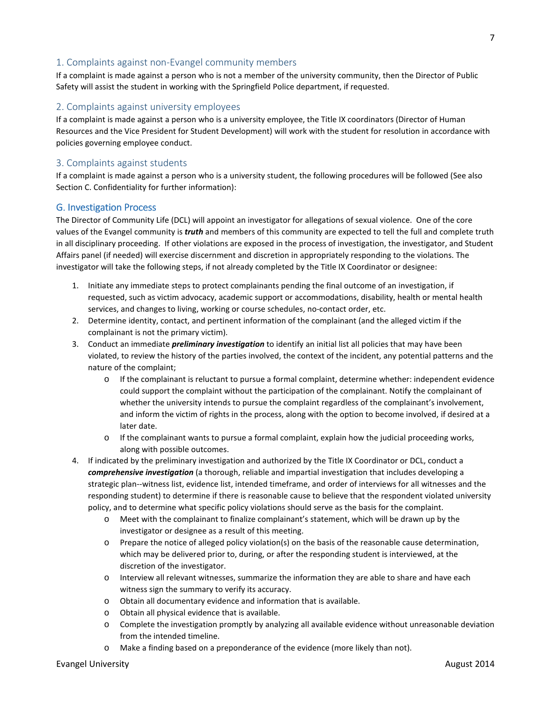# 1. Complaints against non-Evangel community members

If a complaint is made against a person who is not a member of the university community, then the Director of Public Safety will assist the student in working with the Springfield Police department, if requested.

## 2. Complaints against university employees

If a complaint is made against a person who is a university employee, the Title IX coordinators (Director of Human Resources and the Vice President for Student Development) will work with the student for resolution in accordance with policies governing employee conduct.

### 3. Complaints against students

If a complaint is made against a person who is a university student, the following procedures will be followed (See also Section C. Confidentiality for further information):

### **G. Investigation Process**

The Director of Community Life (DCL) will appoint an investigator for allegations of sexual violence. One of the core values of the Evangel community is *truth* and members of this community are expected to tell the full and complete truth in all disciplinary proceeding. If other violations are exposed in the process of investigation, the investigator, and Student Affairs panel (if needed) will exercise discernment and discretion in appropriately responding to the violations. The investigator will take the following steps, if not already completed by the Title IX Coordinator or designee:

- 1. Initiate any immediate steps to protect complainants pending the final outcome of an investigation, if requested, such as victim advocacy, academic support or accommodations, disability, health or mental health services, and changes to living, working or course schedules, no-contact order, etc.
- 2. Determine identity, contact, and pertinent information of the complainant (and the alleged victim if the complainant is not the primary victim).
- 3. Conduct an immediate *preliminary investigation* to identify an initial list all policies that may have been violated, to review the history of the parties involved, the context of the incident, any potential patterns and the nature of the complaint;
	- o If the complainant is reluctant to pursue a formal complaint, determine whether: independent evidence could support the complaint without the participation of the complainant. Notify the complainant of whether the university intends to pursue the complaint regardless of the complainant's involvement, and inform the victim of rights in the process, along with the option to become involved, if desired at a later date.
	- o If the complainant wants to pursue a formal complaint, explain how the judicial proceeding works, along with possible outcomes.
- 4. If indicated by the preliminary investigation and authorized by the Title IX Coordinator or DCL, conduct a *comprehensive investigation* (a thorough, reliable and impartial investigation that includes developing a strategic plan--witness list, evidence list, intended timeframe, and order of interviews for all witnesses and the responding student) to determine if there is reasonable cause to believe that the respondent violated university policy, and to determine what specific policy violations should serve as the basis for the complaint.
	- o Meet with the complainant to finalize complainant's statement, which will be drawn up by the investigator or designee as a result of this meeting.
	- o Prepare the notice of alleged policy violation(s) on the basis of the reasonable cause determination, which may be delivered prior to, during, or after the responding student is interviewed, at the discretion of the investigator.
	- o Interview all relevant witnesses, summarize the information they are able to share and have each witness sign the summary to verify its accuracy.
	- o Obtain all documentary evidence and information that is available.
	- o Obtain all physical evidence that is available.
	- o Complete the investigation promptly by analyzing all available evidence without unreasonable deviation from the intended timeline.
	- o Make a finding based on a preponderance of the evidence (more likely than not).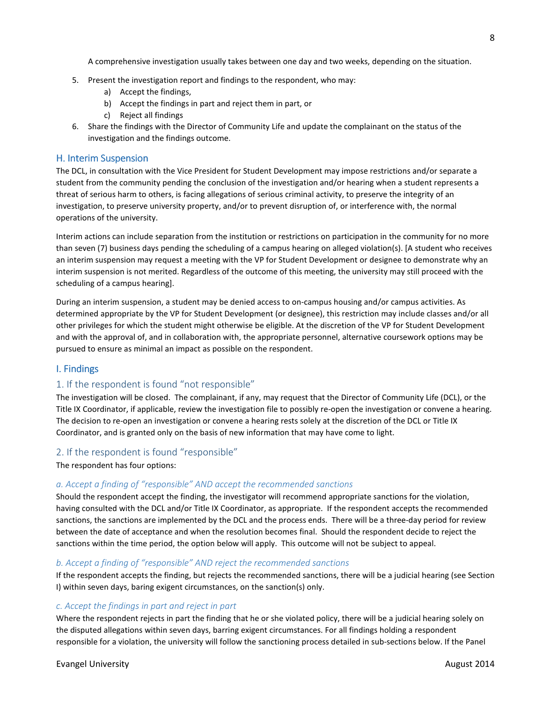A comprehensive investigation usually takes between one day and two weeks, depending on the situation.

- 5. Present the investigation report and findings to the respondent, who may:
	- a) Accept the findings,
	- b) Accept the findings in part and reject them in part, or
	- c) Reject all findings
- 6. Share the findings with the Director of Community Life and update the complainant on the status of the investigation and the findings outcome.

### H. Interim Suspension

The DCL, in consultation with the Vice President for Student Development may impose restrictions and/or separate a student from the community pending the conclusion of the investigation and/or hearing when a student represents a threat of serious harm to others, is facing allegations of serious criminal activity, to preserve the integrity of an investigation, to preserve university property, and/or to prevent disruption of, or interference with, the normal operations of the university.

Interim actions can include separation from the institution or restrictions on participation in the community for no more than seven (7) business days pending the scheduling of a campus hearing on alleged violation(s). [A student who receives an interim suspension may request a meeting with the VP for Student Development or designee to demonstrate why an interim suspension is not merited. Regardless of the outcome of this meeting, the university may still proceed with the scheduling of a campus hearing].

During an interim suspension, a student may be denied access to on-campus housing and/or campus activities. As determined appropriate by the VP for Student Development (or designee), this restriction may include classes and/or all other privileges for which the student might otherwise be eligible. At the discretion of the VP for Student Development and with the approval of, and in collaboration with, the appropriate personnel, alternative coursework options may be pursued to ensure as minimal an impact as possible on the respondent.

### I. Findings

# 1. If the respondent is found "not responsible"

The investigation will be closed. The complainant, if any, may request that the Director of Community Life (DCL), or the Title IX Coordinator, if applicable, review the investigation file to possibly re-open the investigation or convene a hearing. The decision to re-open an investigation or convene a hearing rests solely at the discretion of the DCL or Title IX Coordinator, and is granted only on the basis of new information that may have come to light.

# 2. If the respondent is found "responsible"

The respondent has four options:

### *a. Accept a finding of "responsible" AND accept the recommended sanctions*

Should the respondent accept the finding, the investigator will recommend appropriate sanctions for the violation, having consulted with the DCL and/or Title IX Coordinator, as appropriate. If the respondent accepts the recommended sanctions, the sanctions are implemented by the DCL and the process ends. There will be a three-day period for review between the date of acceptance and when the resolution becomes final. Should the respondent decide to reject the sanctions within the time period, the option below will apply. This outcome will not be subject to appeal.

### *b. Accept a finding of "responsible" AND reject the recommended sanctions*

If the respondent accepts the finding, but rejects the recommended sanctions, there will be a judicial hearing (see Section I) within seven days, baring exigent circumstances, on the sanction(s) only.

### *c. Accept the findings in part and reject in part*

Where the respondent rejects in part the finding that he or she violated policy, there will be a judicial hearing solely on the disputed allegations within seven days, barring exigent circumstances. For all findings holding a respondent responsible for a violation, the university will follow the sanctioning process detailed in sub-sections below. If the Panel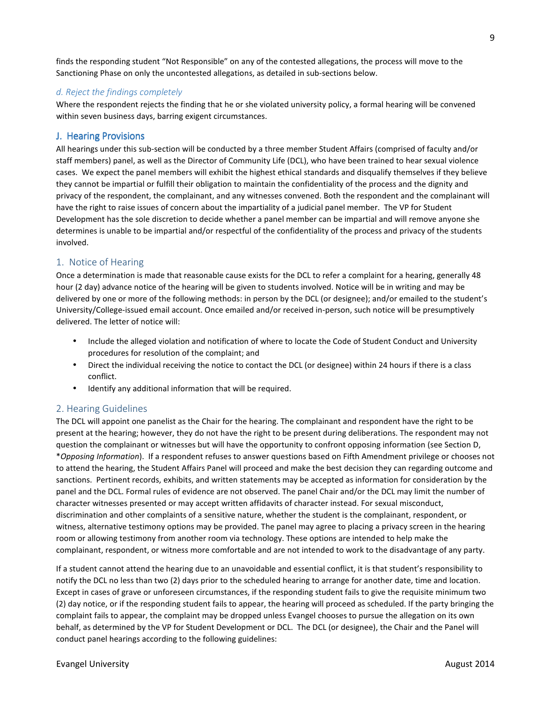finds the responding student "Not Responsible" on any of the contested allegations, the process will move to the Sanctioning Phase on only the uncontested allegations, as detailed in sub-sections below.

### *d. Reject the findings completely*

Where the respondent rejects the finding that he or she violated university policy, a formal hearing will be convened within seven business days, barring exigent circumstances.

### **J. Hearing Provisions**

All hearings under this sub-section will be conducted by a three member Student Affairs (comprised of faculty and/or staff members) panel, as well as the Director of Community Life (DCL), who have been trained to hear sexual violence cases. We expect the panel members will exhibit the highest ethical standards and disqualify themselves if they believe they cannot be impartial or fulfill their obligation to maintain the confidentiality of the process and the dignity and privacy of the respondent, the complainant, and any witnesses convened. Both the respondent and the complainant will have the right to raise issues of concern about the impartiality of a judicial panel member. The VP for Student Development has the sole discretion to decide whether a panel member can be impartial and will remove anyone she determines is unable to be impartial and/or respectful of the confidentiality of the process and privacy of the students involved.

# 1. Notice of Hearing

Once a determination is made that reasonable cause exists for the DCL to refer a complaint for a hearing, generally 48 hour (2 day) advance notice of the hearing will be given to students involved. Notice will be in writing and may be delivered by one or more of the following methods: in person by the DCL (or designee); and/or emailed to the student's University/College-issued email account. Once emailed and/or received in-person, such notice will be presumptively delivered. The letter of notice will:

- Include the alleged violation and notification of where to locate the Code of Student Conduct and University procedures for resolution of the complaint; and
- Direct the individual receiving the notice to contact the DCL (or designee) within 24 hours if there is a class conflict.
- Identify any additional information that will be required.

# 2. Hearing Guidelines

The DCL will appoint one panelist as the Chair for the hearing. The complainant and respondent have the right to be present at the hearing; however, they do not have the right to be present during deliberations. The respondent may not question the complainant or witnesses but will have the opportunity to confront opposing information (see Section D, \**Opposing Information*). If a respondent refuses to answer questions based on Fifth Amendment privilege or chooses not to attend the hearing, the Student Affairs Panel will proceed and make the best decision they can regarding outcome and sanctions. Pertinent records, exhibits, and written statements may be accepted as information for consideration by the panel and the DCL. Formal rules of evidence are not observed. The panel Chair and/or the DCL may limit the number of character witnesses presented or may accept written affidavits of character instead. For sexual misconduct, discrimination and other complaints of a sensitive nature, whether the student is the complainant, respondent, or witness, alternative testimony options may be provided. The panel may agree to placing a privacy screen in the hearing room or allowing testimony from another room via technology. These options are intended to help make the complainant, respondent, or witness more comfortable and are not intended to work to the disadvantage of any party.

If a student cannot attend the hearing due to an unavoidable and essential conflict, it is that student's responsibility to notify the DCL no less than two (2) days prior to the scheduled hearing to arrange for another date, time and location. Except in cases of grave or unforeseen circumstances, if the responding student fails to give the requisite minimum two (2) day notice, or if the responding student fails to appear, the hearing will proceed as scheduled. If the party bringing the complaint fails to appear, the complaint may be dropped unless Evangel chooses to pursue the allegation on its own behalf, as determined by the VP for Student Development or DCL. The DCL (or designee), the Chair and the Panel will conduct panel hearings according to the following guidelines: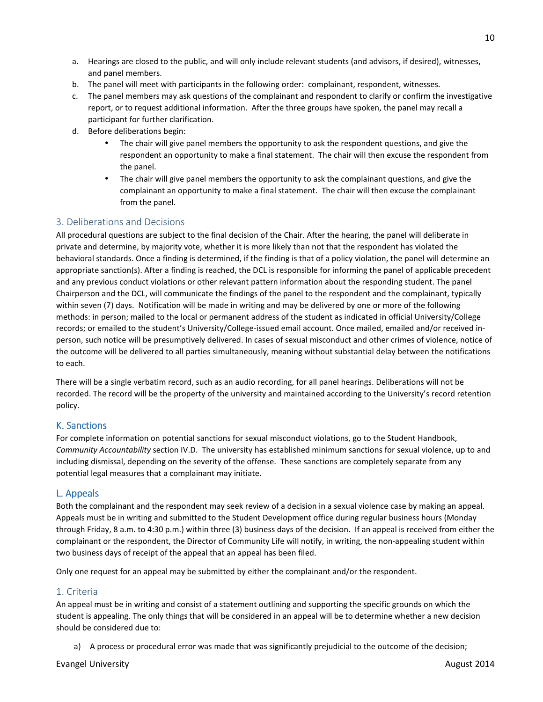- a. Hearings are closed to the public, and will only include relevant students (and advisors, if desired), witnesses, and panel members.
- b. The panel will meet with participants in the following order: complainant, respondent, witnesses.
- c. The panel members may ask questions of the complainant and respondent to clarify or confirm the investigative report, or to request additional information. After the three groups have spoken, the panel may recall a participant for further clarification.
- d. Before deliberations begin:
	- The chair will give panel members the opportunity to ask the respondent questions, and give the respondent an opportunity to make a final statement. The chair will then excuse the respondent from the panel.
	- The chair will give panel members the opportunity to ask the complainant questions, and give the complainant an opportunity to make a final statement. The chair will then excuse the complainant from the panel.

# 3. Deliberations and Decisions

All procedural questions are subject to the final decision of the Chair. After the hearing, the panel will deliberate in private and determine, by majority vote, whether it is more likely than not that the respondent has violated the behavioral standards. Once a finding is determined, if the finding is that of a policy violation, the panel will determine an appropriate sanction(s). After a finding is reached, the DCL is responsible for informing the panel of applicable precedent and any previous conduct violations or other relevant pattern information about the responding student. The panel Chairperson and the DCL, will communicate the findings of the panel to the respondent and the complainant, typically within seven (7) days. Notification will be made in writing and may be delivered by one or more of the following methods: in person; mailed to the local or permanent address of the student as indicated in official University/College records; or emailed to the student's University/College-issued email account. Once mailed, emailed and/or received inperson, such notice will be presumptively delivered. In cases of sexual misconduct and other crimes of violence, notice of the outcome will be delivered to all parties simultaneously, meaning without substantial delay between the notifications to each.

There will be a single verbatim record, such as an audio recording, for all panel hearings. Deliberations will not be recorded. The record will be the property of the university and maintained according to the University's record retention policy.

### K. Sanctions

For complete information on potential sanctions for sexual misconduct violations, go to the Student Handbook, *Community Accountability* section IV.D. The university has established minimum sanctions for sexual violence, up to and including dismissal, depending on the severity of the offense. These sanctions are completely separate from any potential legal measures that a complainant may initiate.

# L. Appeals

Both the complainant and the respondent may seek review of a decision in a sexual violence case by making an appeal. Appeals must be in writing and submitted to the Student Development office during regular business hours (Monday through Friday, 8 a.m. to 4:30 p.m.) within three (3) business days of the decision. If an appeal is received from either the complainant or the respondent, the Director of Community Life will notify, in writing, the non-appealing student within two business days of receipt of the appeal that an appeal has been filed.

Only one request for an appeal may be submitted by either the complainant and/or the respondent.

# 1. Criteria

An appeal must be in writing and consist of a statement outlining and supporting the specific grounds on which the student is appealing. The only things that will be considered in an appeal will be to determine whether a new decision should be considered due to:

a) A process or procedural error was made that was significantly prejudicial to the outcome of the decision;

### Evangel University August 2014